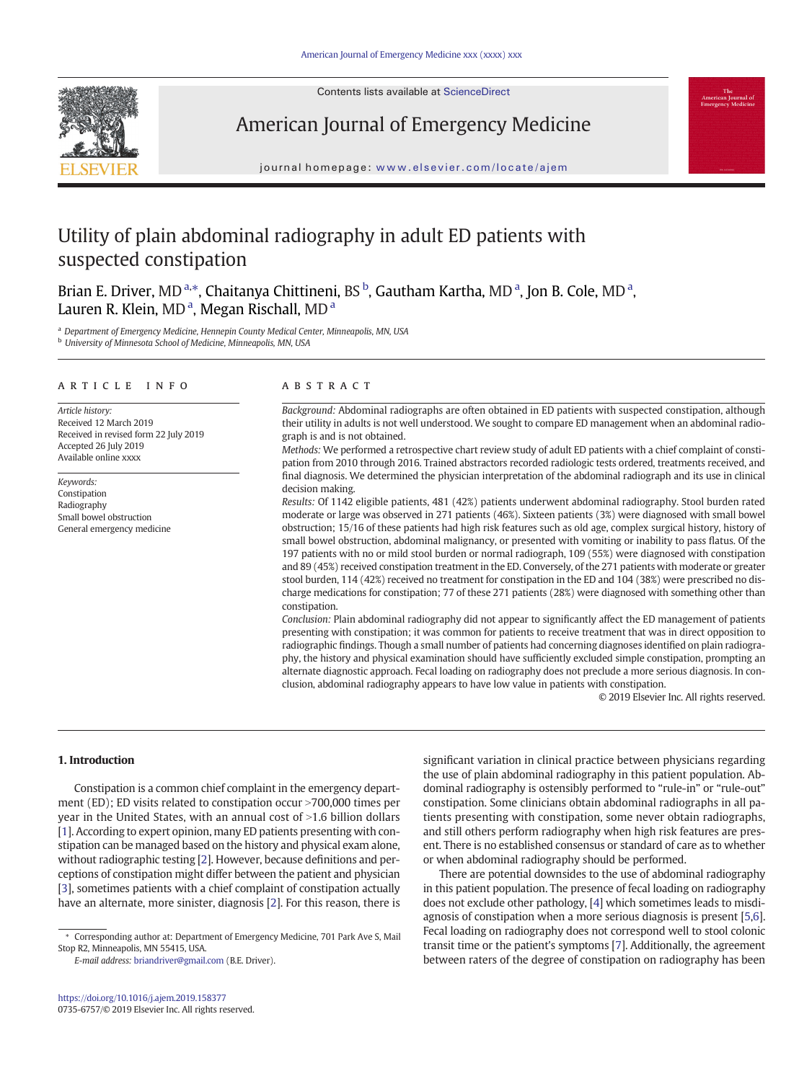Contents lists available at ScienceDirect



American Journal of Emergency Medicine

#### journal homepage: <www.elsevier.com/locate/ajem>

# Utility of plain abdominal radiography in adult ED patients with suspected constipation

Brian E. Driver, MD<sup>a,\*</sup>, Chaitanya Chittineni, BS <sup>b</sup>, Gautham Kartha, MD <sup>a</sup>, Jon B. Cole, MD <sup>a</sup>, Lauren R. Klein, MD<sup>a</sup>, Megan Rischall, MD<sup>a</sup>

<sup>a</sup> Department of Emergency Medicine, Hennepin County Medical Center, Minneapolis, MN, USA **b** University of Minnesota School of Medicine, Minneapolis, MN, USA

#### article info abstract

Article history: Received 12 March 2019 Received in revised form 22 July 2019 Accepted 26 July 2019 Available online xxxx

Keywords: Constipation Radiography Small bowel obstruction General emergency medicine

Background: Abdominal radiographs are often obtained in ED patients with suspected constipation, although their utility in adults is not well understood. We sought to compare ED management when an abdominal radiograph is and is not obtained.

Methods: We performed a retrospective chart review study of adult ED patients with a chief complaint of constipation from 2010 through 2016. Trained abstractors recorded radiologic tests ordered, treatments received, and final diagnosis. We determined the physician interpretation of the abdominal radiograph and its use in clinical decision making.

Results: Of 1142 eligible patients, 481 (42%) patients underwent abdominal radiography. Stool burden rated moderate or large was observed in 271 patients (46%). Sixteen patients (3%) were diagnosed with small bowel obstruction; 15/16 of these patients had high risk features such as old age, complex surgical history, history of small bowel obstruction, abdominal malignancy, or presented with vomiting or inability to pass flatus. Of the 197 patients with no or mild stool burden or normal radiograph, 109 (55%) were diagnosed with constipation and 89 (45%) received constipation treatment in the ED. Conversely, of the 271 patients with moderate or greater stool burden, 114 (42%) received no treatment for constipation in the ED and 104 (38%) were prescribed no discharge medications for constipation; 77 of these 271 patients (28%) were diagnosed with something other than constipation.

Conclusion: Plain abdominal radiography did not appear to significantly affect the ED management of patients presenting with constipation; it was common for patients to receive treatment that was in direct opposition to radiographic findings. Though a small number of patients had concerning diagnoses identified on plain radiography, the history and physical examination should have sufficiently excluded simple constipation, prompting an alternate diagnostic approach. Fecal loading on radiography does not preclude a more serious diagnosis. In conclusion, abdominal radiography appears to have low value in patients with constipation.

© 2019 Elsevier Inc. All rights reserved.

#### 1. Introduction

Constipation is a common chief complaint in the emergency department (ED); ED visits related to constipation occur  $>700,000$  times per year in the United States, with an annual cost of  $>1.6$  billion dollars [\[1\]](#page-3-0). According to expert opinion, many ED patients presenting with constipation can be managed based on the history and physical exam alone, without radiographic testing [[2](#page-3-0)]. However, because definitions and perceptions of constipation might differ between the patient and physician [\[3\]](#page-3-0), sometimes patients with a chief complaint of constipation actually have an alternate, more sinister, diagnosis [\[2\]](#page-3-0). For this reason, there is

E-mail address: [briandriver@gmail.com](mailto:briandriver@gmail.com) (B.E. Driver).

significant variation in clinical practice between physicians regarding the use of plain abdominal radiography in this patient population. Abdominal radiography is ostensibly performed to "rule-in" or "rule-out" constipation. Some clinicians obtain abdominal radiographs in all patients presenting with constipation, some never obtain radiographs, and still others perform radiography when high risk features are present. There is no established consensus or standard of care as to whether or when abdominal radiography should be performed.

There are potential downsides to the use of abdominal radiography in this patient population. The presence of fecal loading on radiography does not exclude other pathology, [\[4\]](#page-3-0) which sometimes leads to misdiagnosis of constipation when a more serious diagnosis is present [\[5,6](#page-3-0)]. Fecal loading on radiography does not correspond well to stool colonic transit time or the patient's symptoms [[7](#page-3-0)]. Additionally, the agreement between raters of the degree of constipation on radiography has been

<sup>⁎</sup> Corresponding author at: Department of Emergency Medicine, 701 Park Ave S, Mail Stop R2, Minneapolis, MN 55415, USA.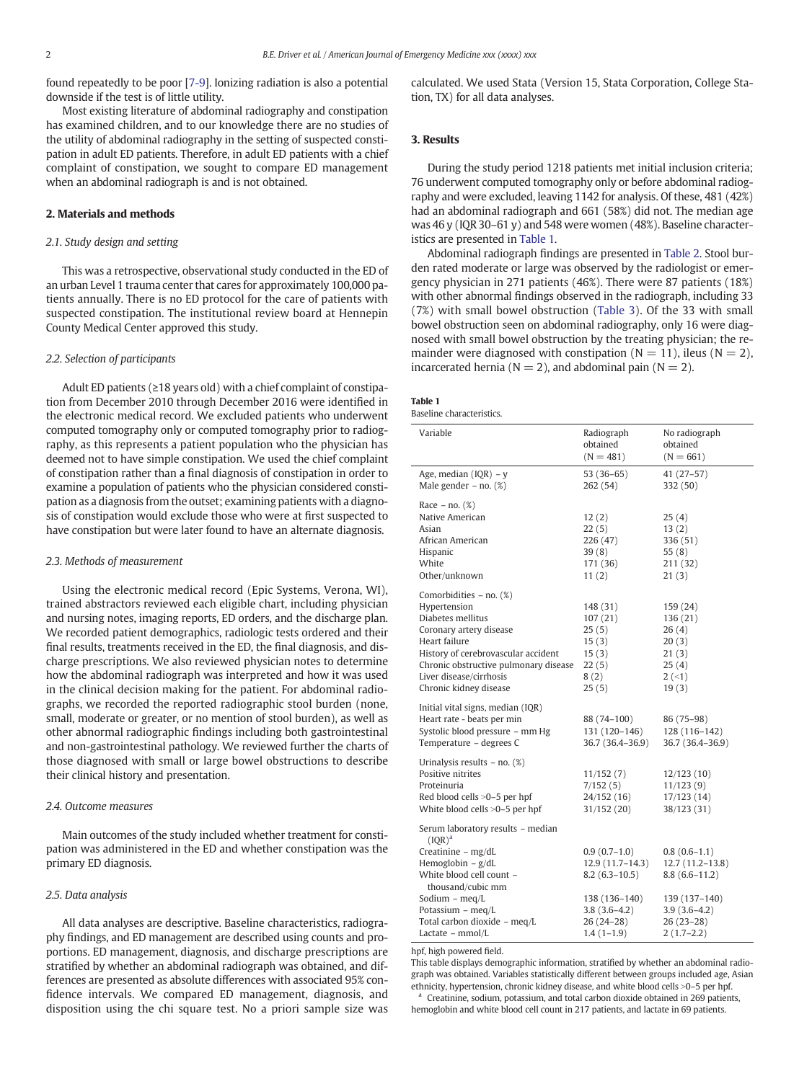found repeatedly to be poor [[7-9\]](#page-3-0). Ionizing radiation is also a potential downside if the test is of little utility.

Most existing literature of abdominal radiography and constipation has examined children, and to our knowledge there are no studies of the utility of abdominal radiography in the setting of suspected constipation in adult ED patients. Therefore, in adult ED patients with a chief complaint of constipation, we sought to compare ED management when an abdominal radiograph is and is not obtained.

### 2. Materials and methods

#### 2.1. Study design and setting

This was a retrospective, observational study conducted in the ED of an urban Level 1 trauma center that cares for approximately 100,000 patients annually. There is no ED protocol for the care of patients with suspected constipation. The institutional review board at Hennepin County Medical Center approved this study.

#### 2.2. Selection of participants

Adult ED patients (≥18 years old) with a chief complaint of constipation from December 2010 through December 2016 were identified in the electronic medical record. We excluded patients who underwent computed tomography only or computed tomography prior to radiography, as this represents a patient population who the physician has deemed not to have simple constipation. We used the chief complaint of constipation rather than a final diagnosis of constipation in order to examine a population of patients who the physician considered constipation as a diagnosis from the outset; examining patients with a diagnosis of constipation would exclude those who were at first suspected to have constipation but were later found to have an alternate diagnosis.

#### 2.3. Methods of measurement

Using the electronic medical record (Epic Systems, Verona, WI), trained abstractors reviewed each eligible chart, including physician and nursing notes, imaging reports, ED orders, and the discharge plan. We recorded patient demographics, radiologic tests ordered and their final results, treatments received in the ED, the final diagnosis, and discharge prescriptions. We also reviewed physician notes to determine how the abdominal radiograph was interpreted and how it was used in the clinical decision making for the patient. For abdominal radiographs, we recorded the reported radiographic stool burden (none, small, moderate or greater, or no mention of stool burden), as well as other abnormal radiographic findings including both gastrointestinal and non-gastrointestinal pathology. We reviewed further the charts of those diagnosed with small or large bowel obstructions to describe their clinical history and presentation.

#### 2.4. Outcome measures

Main outcomes of the study included whether treatment for constipation was administered in the ED and whether constipation was the primary ED diagnosis.

#### 2.5. Data analysis

All data analyses are descriptive. Baseline characteristics, radiography findings, and ED management are described using counts and proportions. ED management, diagnosis, and discharge prescriptions are stratified by whether an abdominal radiograph was obtained, and differences are presented as absolute differences with associated 95% confidence intervals. We compared ED management, diagnosis, and disposition using the chi square test. No a priori sample size was calculated. We used Stata (Version 15, Stata Corporation, College Station, TX) for all data analyses.

#### 3. Results

During the study period 1218 patients met initial inclusion criteria; 76 underwent computed tomography only or before abdominal radiography and were excluded, leaving 1142 for analysis. Of these, 481 (42%) had an abdominal radiograph and 661 (58%) did not. The median age was 46 y (IQR 30–61 y) and 548 were women (48%). Baseline characteristics are presented in Table 1.

Abdominal radiograph findings are presented in [Table 2](#page-2-0). Stool burden rated moderate or large was observed by the radiologist or emergency physician in 271 patients (46%). There were 87 patients (18%) with other abnormal findings observed in the radiograph, including 33 (7%) with small bowel obstruction ([Table 3](#page-2-0)). Of the 33 with small bowel obstruction seen on abdominal radiography, only 16 were diagnosed with small bowel obstruction by the treating physician; the remainder were diagnosed with constipation ( $N = 11$ ), ileus ( $N = 2$ ), incarcerated hernia ( $N = 2$ ), and abdominal pain ( $N = 2$ ).

## Table 1

|  | Baseline characteristics. |
|--|---------------------------|
|--|---------------------------|

| Variable                                              | Radiograph<br>obtained<br>$(N = 481)$ | No radiograph<br>obtained<br>$(N = 661)$ |
|-------------------------------------------------------|---------------------------------------|------------------------------------------|
|                                                       |                                       |                                          |
| Age, median $(IQR) - y$<br>Male gender $-$ no. $(\%)$ | $53(36-65)$<br>262 (54)               | $41(27-57)$<br>332 (50)                  |
| Race $-$ no. $(\%)$                                   |                                       |                                          |
| Native American                                       | 12(2)                                 | 25(4)                                    |
| Asian                                                 | 22(5)                                 | 13(2)                                    |
| African American                                      | 226 (47)                              | 336 (51)                                 |
|                                                       |                                       |                                          |
| Hispanic                                              | 39(8)                                 | 55(8)                                    |
| White                                                 | 171 (36)                              | 211 (32)                                 |
| Other/unknown                                         | 11(2)                                 | 21(3)                                    |
| Comorbidities – no. (%)                               |                                       |                                          |
| Hypertension                                          | 148 (31)                              | 159 (24)                                 |
| Diabetes mellitus                                     | 107(21)                               | 136 (21)                                 |
| Coronary artery disease                               | 25(5)                                 | 26(4)                                    |
| Heart failure                                         | 15(3)                                 | 20(3)                                    |
|                                                       |                                       |                                          |
| History of cerebrovascular accident                   | 15(3)                                 | 21(3)                                    |
| Chronic obstructive pulmonary disease                 | 22(5)                                 | 25(4)                                    |
| Liver disease/cirrhosis                               | 8(2)                                  | $2(-1)$                                  |
| Chronic kidney disease                                | 25(5)                                 | 19(3)                                    |
| Initial vital signs, median (IQR)                     |                                       |                                          |
| Heart rate - beats per min                            | 88 (74-100)                           | 86 (75-98)                               |
| Systolic blood pressure - mm Hg                       | 131 (120-146)                         | 128 (116-142)                            |
| Temperature - degrees C                               | 36.7 (36.4-36.9)                      | 36.7 (36.4–36.9)                         |
|                                                       |                                       |                                          |
| Urinalysis results $-$ no. $(\%)$                     |                                       |                                          |
| Positive nitrites                                     | 11/152(7)                             | 12/123(10)                               |
| Proteinuria                                           | 7/152(5)                              | 11/123(9)                                |
| Red blood cells >0-5 per hpf                          | 24/152 (16)                           | 17/123(14)                               |
| White blood cells >0-5 per hpf                        | 31/152(20)                            | 38/123 (31)                              |
| Serum laboratory results - median<br>$(IOR)^a$        |                                       |                                          |
| Creatinine - mg/dL                                    | $0.9(0.7-1.0)$                        | $0.8(0.6-1.1)$                           |
| Hemoglobin $- g/dL$                                   | $12.9(11.7-14.3)$                     |                                          |
|                                                       |                                       | $12.7(11.2 - 13.8)$                      |
| White blood cell count -                              | $8.2(6.3-10.5)$                       | $8.8(6.6-11.2)$                          |
| thousand/cubic mm                                     |                                       |                                          |
| Sodium $-$ meg/L                                      | 138 (136-140)                         | 139 (137-140)                            |
| Potassium - $meq/L$                                   | $3.8(3.6-4.2)$                        | $3.9(3.6-4.2)$                           |
| Total carbon dioxide - meg/L                          | 26 (24-28)                            | $26(23-28)$                              |
| Lactate – mmol/L                                      | $1.4(1-1.9)$                          | $2(1.7-2.2)$                             |

hpf, high powered field.

This table displays demographic information, stratified by whether an abdominal radiograph was obtained. Variables statistically different between groups included age, Asian ethnicity, hypertension, chronic kidney disease, and white blood cells >0-5 per hpf.

Creatinine, sodium, potassium, and total carbon dioxide obtained in 269 patients, hemoglobin and white blood cell count in 217 patients, and lactate in 69 patients.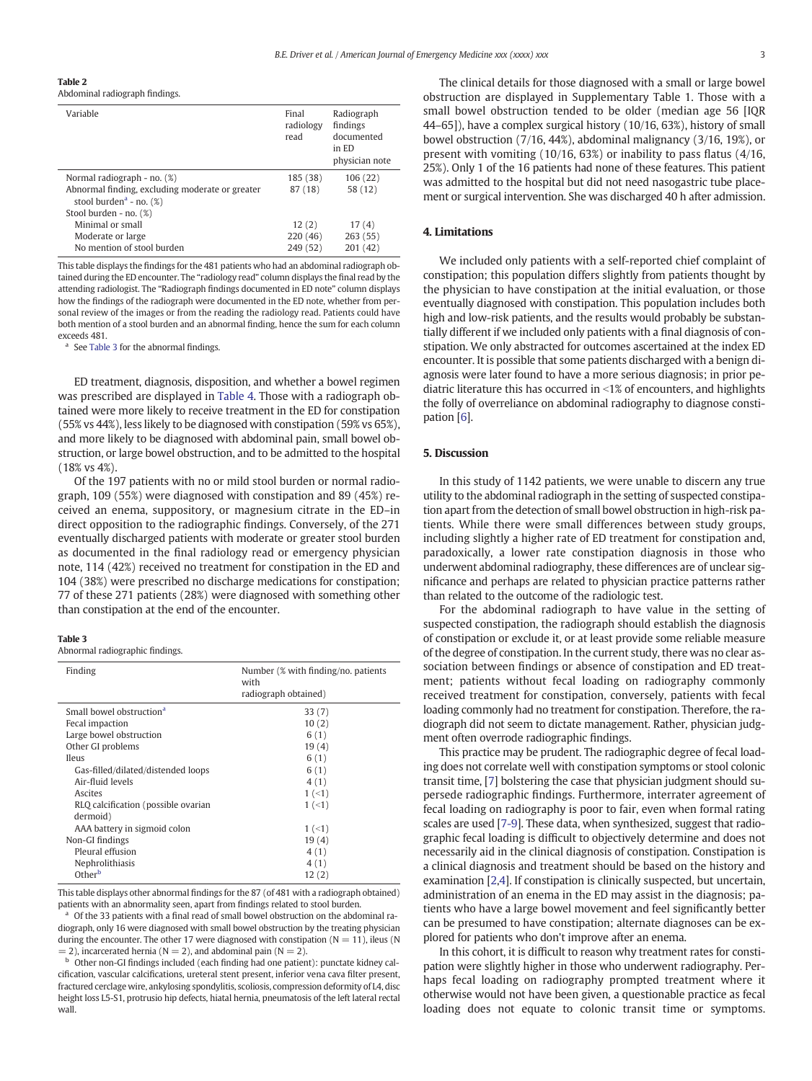<span id="page-2-0"></span>Table 2

Abdominal radiograph findings.

| Variable                                                                                  | Final<br>radiology<br>read | Radiograph<br>findings<br>documented<br>in ED<br>physician note |
|-------------------------------------------------------------------------------------------|----------------------------|-----------------------------------------------------------------|
| Normal radiograph - no. (%)                                                               | 185 (38)                   | 106 (22)                                                        |
| Abnormal finding, excluding moderate or greater<br>stool burden <sup>a</sup> - no. $(\%)$ | 87 (18)                    | 58 (12)                                                         |
| Stool burden - no. (%)                                                                    |                            |                                                                 |
| Minimal or small                                                                          | 12(2)                      | 17(4)                                                           |
| Moderate or large                                                                         | 220(46)                    | 263(55)                                                         |
| No mention of stool burden                                                                | 249 (52)                   | 201 (42)                                                        |

This table displays the findings for the 481 patients who had an abdominal radiograph obtained during the ED encounter. The "radiology read" column displays the final read by the attending radiologist. The "Radiograph findings documented in ED note" column displays how the findings of the radiograph were documented in the ED note, whether from personal review of the images or from the reading the radiology read. Patients could have both mention of a stool burden and an abnormal finding, hence the sum for each column exceeds 481.

<sup>a</sup> See Table 3 for the abnormal findings.

ED treatment, diagnosis, disposition, and whether a bowel regimen was prescribed are displayed in [Table 4](#page-3-0). Those with a radiograph obtained were more likely to receive treatment in the ED for constipation (55% vs 44%), less likely to be diagnosed with constipation (59% vs 65%), and more likely to be diagnosed with abdominal pain, small bowel obstruction, or large bowel obstruction, and to be admitted to the hospital (18% vs 4%).

Of the 197 patients with no or mild stool burden or normal radiograph, 109 (55%) were diagnosed with constipation and 89 (45%) received an enema, suppository, or magnesium citrate in the ED–in direct opposition to the radiographic findings. Conversely, of the 271 eventually discharged patients with moderate or greater stool burden as documented in the final radiology read or emergency physician note, 114 (42%) received no treatment for constipation in the ED and 104 (38%) were prescribed no discharge medications for constipation; 77 of these 271 patients (28%) were diagnosed with something other than constipation at the end of the encounter.

#### Table 3

Abnormal radiographic findings.

| Finding                              | Number (% with finding/no, patients<br>with<br>radiograph obtained) |  |
|--------------------------------------|---------------------------------------------------------------------|--|
|                                      |                                                                     |  |
| Small bowel obstruction <sup>a</sup> | 33(7)                                                               |  |
| Fecal impaction                      | 10(2)                                                               |  |
| Large bowel obstruction              | 6(1)                                                                |  |
| Other GI problems                    | 19(4)                                                               |  |
| <b>Ileus</b>                         | 6(1)                                                                |  |
| Gas-filled/dilated/distended loops   | 6(1)                                                                |  |
| Air-fluid levels                     | 4(1)                                                                |  |
| Ascites                              | $1 (-1)$                                                            |  |
| RLQ calcification (possible ovarian  | $1 (-1)$                                                            |  |
| dermoid)                             |                                                                     |  |
| AAA battery in sigmoid colon         | $1(-1)$                                                             |  |
| Non-GI findings                      | 19(4)                                                               |  |
| Pleural effusion                     | 4 (1)                                                               |  |
| Nephrolithiasis                      | 4 (1)                                                               |  |
| Other <sup>b</sup>                   | 12(2)                                                               |  |
|                                      |                                                                     |  |

This table displays other abnormal findings for the 87 (of 481 with a radiograph obtained) patients with an abnormality seen, apart from findings related to stool burden.

Of the 33 patients with a final read of small bowel obstruction on the abdominal radiograph, only 16 were diagnosed with small bowel obstruction by the treating physician during the encounter. The other 17 were diagnosed with constipation (N = 11), ileus (N  $= 2$ ), incarcerated hernia (N  $= 2$ ), and abdominal pain (N  $= 2$ ).

<sup>b</sup> Other non-GI findings included (each finding had one patient): punctate kidney calcification, vascular calcifications, ureteral stent present, inferior vena cava filter present, fractured cerclage wire, ankylosing spondylitis, scoliosis, compression deformity of L4, disc height loss L5-S1, protrusio hip defects, hiatal hernia, pneumatosis of the left lateral rectal wall

The clinical details for those diagnosed with a small or large bowel obstruction are displayed in Supplementary Table 1. Those with a small bowel obstruction tended to be older (median age 56 [IQR 44–65]), have a complex surgical history (10/16, 63%), history of small bowel obstruction (7/16, 44%), abdominal malignancy (3/16, 19%), or present with vomiting (10/16, 63%) or inability to pass flatus (4/16, 25%). Only 1 of the 16 patients had none of these features. This patient was admitted to the hospital but did not need nasogastric tube placement or surgical intervention. She was discharged 40 h after admission.

#### 4. Limitations

We included only patients with a self-reported chief complaint of constipation; this population differs slightly from patients thought by the physician to have constipation at the initial evaluation, or those eventually diagnosed with constipation. This population includes both high and low-risk patients, and the results would probably be substantially different if we included only patients with a final diagnosis of constipation. We only abstracted for outcomes ascertained at the index ED encounter. It is possible that some patients discharged with a benign diagnosis were later found to have a more serious diagnosis; in prior pediatric literature this has occurred in  $\leq$ 1% of encounters, and highlights the folly of overreliance on abdominal radiography to diagnose constipation [\[6](#page-3-0)].

#### 5. Discussion

In this study of 1142 patients, we were unable to discern any true utility to the abdominal radiograph in the setting of suspected constipation apart from the detection of small bowel obstruction in high-risk patients. While there were small differences between study groups, including slightly a higher rate of ED treatment for constipation and, paradoxically, a lower rate constipation diagnosis in those who underwent abdominal radiography, these differences are of unclear significance and perhaps are related to physician practice patterns rather than related to the outcome of the radiologic test.

For the abdominal radiograph to have value in the setting of suspected constipation, the radiograph should establish the diagnosis of constipation or exclude it, or at least provide some reliable measure of the degree of constipation. In the current study, there was no clear association between findings or absence of constipation and ED treatment; patients without fecal loading on radiography commonly received treatment for constipation, conversely, patients with fecal loading commonly had no treatment for constipation. Therefore, the radiograph did not seem to dictate management. Rather, physician judgment often overrode radiographic findings.

This practice may be prudent. The radiographic degree of fecal loading does not correlate well with constipation symptoms or stool colonic transit time, [\[7\]](#page-3-0) bolstering the case that physician judgment should supersede radiographic findings. Furthermore, interrater agreement of fecal loading on radiography is poor to fair, even when formal rating scales are used [[7-9\]](#page-3-0). These data, when synthesized, suggest that radiographic fecal loading is difficult to objectively determine and does not necessarily aid in the clinical diagnosis of constipation. Constipation is a clinical diagnosis and treatment should be based on the history and examination [\[2,4\]](#page-3-0). If constipation is clinically suspected, but uncertain, administration of an enema in the ED may assist in the diagnosis; patients who have a large bowel movement and feel significantly better can be presumed to have constipation; alternate diagnoses can be explored for patients who don't improve after an enema.

In this cohort, it is difficult to reason why treatment rates for constipation were slightly higher in those who underwent radiography. Perhaps fecal loading on radiography prompted treatment where it otherwise would not have been given, a questionable practice as fecal loading does not equate to colonic transit time or symptoms.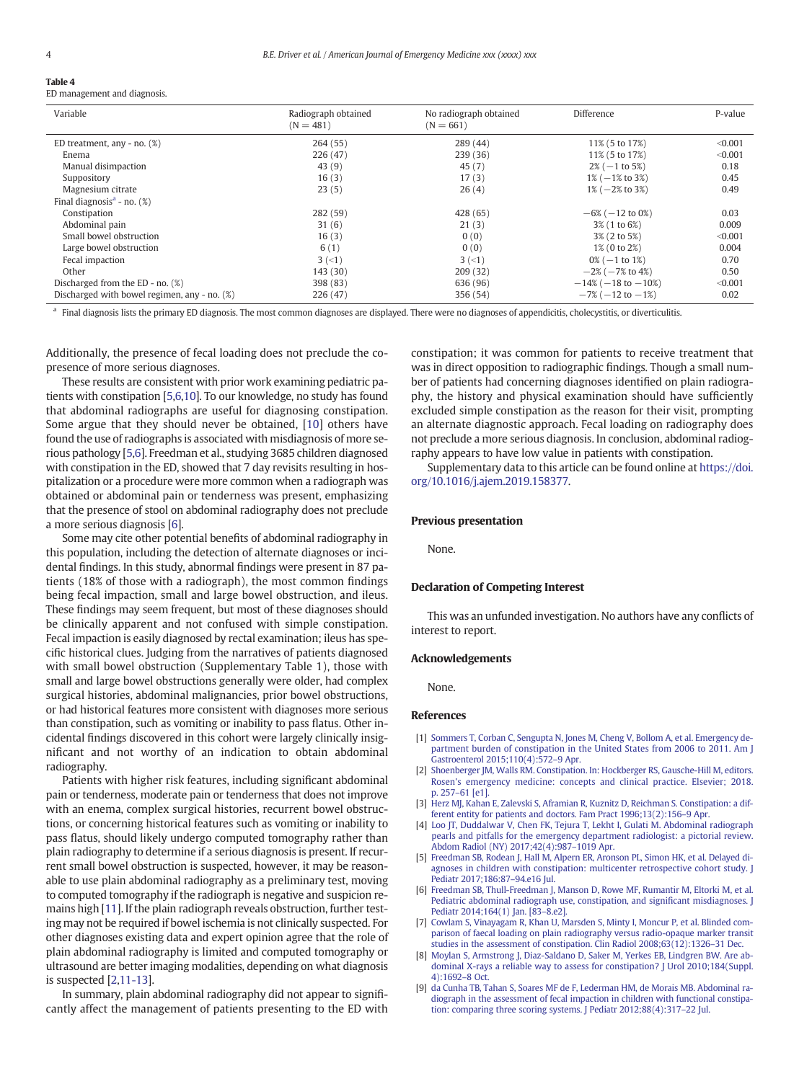# <span id="page-3-0"></span>Table 4

| Variable                                        | Radiograph obtained<br>$(N = 481)$ | No radiograph obtained<br>$(N = 661)$ | Difference                   | P-value |
|-------------------------------------------------|------------------------------------|---------------------------------------|------------------------------|---------|
| ED treatment, any $-$ no. $(\%)$                | 264(55)                            | 289 (44)                              | 11% (5 to 17%)               | < 0.001 |
| Enema                                           | 226 (47)                           | 239(36)                               | 11% (5 to 17%)               | < 0.001 |
| Manual disimpaction                             | 43(9)                              | 45(7)                                 | $2\%$ (-1 to 5%)             | 0.18    |
| Suppository                                     | 16(3)                              | 17(3)                                 | $1\% (-1\% \text{ to } 3\%)$ | 0.45    |
| Magnesium citrate                               | 23(5)                              | 26(4)                                 | $1\% (-2\% \text{ to } 3\%)$ | 0.49    |
| Final diagnosis <sup>a</sup> - no. $(\%)$       |                                    |                                       |                              |         |
| Constipation                                    | 282 (59)                           | 428 (65)                              | $-6\%$ ( $-12$ to 0%)        | 0.03    |
| Abdominal pain                                  | 31(6)                              | 21(3)                                 | 3% (1 to 6%)                 | 0.009   |
| Small bowel obstruction                         | 16(3)                              | 0(0)                                  | 3% (2 to 5%)                 | < 0.001 |
| Large bowel obstruction                         | 6(1)                               | 0(0)                                  | 1% (0 to 2%)                 | 0.004   |
| Fecal impaction                                 | $3(-1)$                            | $3(-1)$                               | $0\%$ (-1 to 1%)             | 0.70    |
| Other                                           | 143(30)                            | 209(32)                               | $-2\%$ ( $-7\%$ to 4%)       | 0.50    |
| Discharged from the ED - no. (%)                | 398 (83)                           | 636 (96)                              | $-14\%$ ( $-18$ to $-10\%$ ) | < 0.001 |
| Discharged with bowel regimen, any - no. $(\%)$ | 226 (47)                           | 356 (54)                              | $-7\%$ ( $-12$ to $-1\%$ )   | 0.02    |

<sup>a</sup> Final diagnosis lists the primary ED diagnosis. The most common diagnoses are displayed. There were no diagnoses of appendicitis, cholecystitis, or diverticulitis.

Additionally, the presence of fecal loading does not preclude the copresence of more serious diagnoses.

These results are consistent with prior work examining pediatric patients with constipation [5,6,[10\]](#page-4-0). To our knowledge, no study has found that abdominal radiographs are useful for diagnosing constipation. Some argue that they should never be obtained, [[10](#page-4-0)] others have found the use of radiographs is associated with misdiagnosis of more serious pathology [5,6]. Freedman et al., studying 3685 children diagnosed with constipation in the ED, showed that 7 day revisits resulting in hospitalization or a procedure were more common when a radiograph was obtained or abdominal pain or tenderness was present, emphasizing that the presence of stool on abdominal radiography does not preclude a more serious diagnosis [6].

Some may cite other potential benefits of abdominal radiography in this population, including the detection of alternate diagnoses or incidental findings. In this study, abnormal findings were present in 87 patients (18% of those with a radiograph), the most common findings being fecal impaction, small and large bowel obstruction, and ileus. These findings may seem frequent, but most of these diagnoses should be clinically apparent and not confused with simple constipation. Fecal impaction is easily diagnosed by rectal examination; ileus has specific historical clues. Judging from the narratives of patients diagnosed with small bowel obstruction (Supplementary Table 1), those with small and large bowel obstructions generally were older, had complex surgical histories, abdominal malignancies, prior bowel obstructions, or had historical features more consistent with diagnoses more serious than constipation, such as vomiting or inability to pass flatus. Other incidental findings discovered in this cohort were largely clinically insignificant and not worthy of an indication to obtain abdominal radiography.

Patients with higher risk features, including significant abdominal pain or tenderness, moderate pain or tenderness that does not improve with an enema, complex surgical histories, recurrent bowel obstructions, or concerning historical features such as vomiting or inability to pass flatus, should likely undergo computed tomography rather than plain radiography to determine if a serious diagnosis is present. If recurrent small bowel obstruction is suspected, however, it may be reasonable to use plain abdominal radiography as a preliminary test, moving to computed tomography if the radiograph is negative and suspicion remains high [\[11\]](#page-4-0). If the plain radiograph reveals obstruction, further testing may not be required if bowel ischemia is not clinically suspected. For other diagnoses existing data and expert opinion agree that the role of plain abdominal radiography is limited and computed tomography or ultrasound are better imaging modalities, depending on what diagnosis is suspected [2,[11-13\]](#page-4-0).

In summary, plain abdominal radiography did not appear to significantly affect the management of patients presenting to the ED with constipation; it was common for patients to receive treatment that was in direct opposition to radiographic findings. Though a small number of patients had concerning diagnoses identified on plain radiography, the history and physical examination should have sufficiently excluded simple constipation as the reason for their visit, prompting an alternate diagnostic approach. Fecal loading on radiography does not preclude a more serious diagnosis. In conclusion, abdominal radiography appears to have low value in patients with constipation.

Supplementary data to this article can be found online at [https://doi.](https://doi.org/10.1016/j.ajem.2019.158377) [org/10.1016/j.ajem.2019.158377.](https://doi.org/10.1016/j.ajem.2019.158377)

#### Previous presentation

None.

#### Declaration of Competing Interest

This was an unfunded investigation. No authors have any conflicts of interest to report.

#### Acknowledgements

None.

#### References

- [1] [Sommers T, Corban C, Sengupta N, Jones M, Cheng V, Bollom A, et al. Emergency de](http://refhub.elsevier.com/S0735-6757(19)30507-8/rf0005)[partment burden of constipation in the United States from 2006 to 2011. Am J](http://refhub.elsevier.com/S0735-6757(19)30507-8/rf0005) [Gastroenterol 2015;110\(4\):572](http://refhub.elsevier.com/S0735-6757(19)30507-8/rf0005)–9 Apr.
- [2] [Shoenberger JM, Walls RM. Constipation. In: Hockberger RS, Gausche-Hill M, editors.](http://refhub.elsevier.com/S0735-6757(19)30507-8/rf0010) [Rosen's emergency medicine: concepts and clinical practice. Elsevier; 2018.](http://refhub.elsevier.com/S0735-6757(19)30507-8/rf0010) p. 257–[61 \[e1\].](http://refhub.elsevier.com/S0735-6757(19)30507-8/rf0010)
- [3] [Herz MJ, Kahan E, Zalevski S, Aframian R, Kuznitz D, Reichman S. Constipation: a dif](http://refhub.elsevier.com/S0735-6757(19)30507-8/rf0015)[ferent entity for patients and doctors. Fam Pract 1996;13\(2\):156](http://refhub.elsevier.com/S0735-6757(19)30507-8/rf0015)–9 Apr.
- [4] [Loo JT, Duddalwar V, Chen FK, Tejura T, Lekht I, Gulati M. Abdominal radiograph](http://refhub.elsevier.com/S0735-6757(19)30507-8/rf0020) [pearls and pitfalls for the emergency department radiologist: a pictorial review.](http://refhub.elsevier.com/S0735-6757(19)30507-8/rf0020) [Abdom Radiol \(NY\) 2017;42\(4\):987](http://refhub.elsevier.com/S0735-6757(19)30507-8/rf0020)–1019 Apr.
- [5] [Freedman SB, Rodean J, Hall M, Alpern ER, Aronson PL, Simon HK, et al. Delayed di](http://refhub.elsevier.com/S0735-6757(19)30507-8/rf0025)[agnoses in children with constipation: multicenter retrospective cohort study. J](http://refhub.elsevier.com/S0735-6757(19)30507-8/rf0025) [Pediatr 2017;186:87](http://refhub.elsevier.com/S0735-6757(19)30507-8/rf0025)–94.e16 Jul.
- [6] [Freedman SB, Thull-Freedman J, Manson D, Rowe MF, Rumantir M, Eltorki M, et al.](http://refhub.elsevier.com/S0735-6757(19)30507-8/rf0030) [Pediatric abdominal radiograph use, constipation, and signi](http://refhub.elsevier.com/S0735-6757(19)30507-8/rf0030)ficant misdiagnoses. J [Pediatr 2014;164\(1\) Jan. \[83](http://refhub.elsevier.com/S0735-6757(19)30507-8/rf0030)-8.e2].
- [7] [Cowlam S, Vinayagam R, Khan U, Marsden S, Minty I, Moncur P, et al. Blinded com](http://refhub.elsevier.com/S0735-6757(19)30507-8/rf0035)[parison of faecal loading on plain radiography versus radio-opaque marker transit](http://refhub.elsevier.com/S0735-6757(19)30507-8/rf0035) [studies in the assessment of constipation. Clin Radiol 2008;63\(12\):1326](http://refhub.elsevier.com/S0735-6757(19)30507-8/rf0035)–31 Dec.
- [8] [Moylan S, Armstrong J, Diaz-Saldano D, Saker M, Yerkes EB, Lindgren BW. Are ab](http://refhub.elsevier.com/S0735-6757(19)30507-8/rf0040)[dominal X-rays a reliable way to assess for constipation? J Urol 2010;184\(Suppl.](http://refhub.elsevier.com/S0735-6757(19)30507-8/rf0040) [4\):1692](http://refhub.elsevier.com/S0735-6757(19)30507-8/rf0040)–8 Oct.
- [9] [da Cunha TB, Tahan S, Soares MF de F, Lederman HM, de Morais MB. Abdominal ra](http://refhub.elsevier.com/S0735-6757(19)30507-8/rf0045)[diograph in the assessment of fecal impaction in children with functional constipa](http://refhub.elsevier.com/S0735-6757(19)30507-8/rf0045)[tion: comparing three scoring systems. J Pediatr 2012;88\(4\):317](http://refhub.elsevier.com/S0735-6757(19)30507-8/rf0045)–22 Jul.